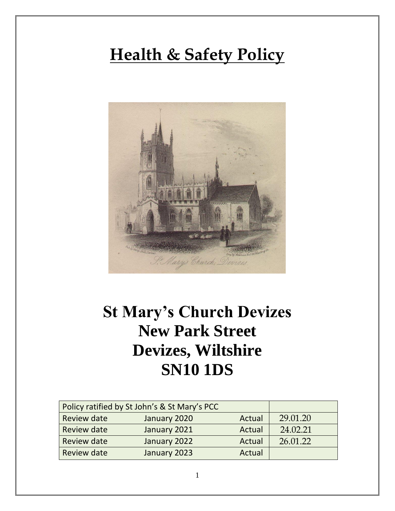# **Health & Safety Policy**



## **St Mary's Church Devizes New Park Street Devizes, Wiltshire SN10 1DS**

|                    | Policy ratified by St John's & St Mary's PCC |        |          |
|--------------------|----------------------------------------------|--------|----------|
| <b>Review date</b> | January 2020                                 | Actual | 29.01.20 |
| <b>Review date</b> | January 2021                                 | Actual | 24.02.21 |
| <b>Review date</b> | January 2022                                 | Actual | 26.01.22 |
| <b>Review date</b> | January 2023                                 | Actual |          |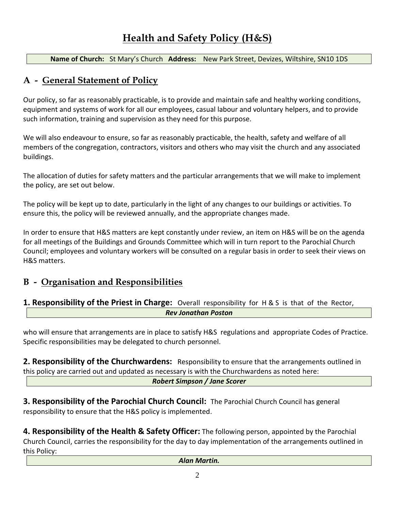**Name of Church:** St Mary's Church **Address:** New Park Street, Devizes, Wiltshire, SN10 1DS

## **A - General Statement of Policy**

Our policy, so far as reasonably practicable, is to provide and maintain safe and healthy working conditions, equipment and systems of work for all our employees, casual labour and voluntary helpers, and to provide such information, training and supervision as they need for this purpose.

We will also endeavour to ensure, so far as reasonably practicable, the health, safety and welfare of all members of the congregation, contractors, visitors and others who may visit the church and any associated buildings.

The allocation of duties for safety matters and the particular arrangements that we will make to implement the policy, are set out below.

The policy will be kept up to date, particularly in the light of any changes to our buildings or activities. To ensure this, the policy will be reviewed annually, and the appropriate changes made.

In order to ensure that H&S matters are kept constantly under review, an item on H&S will be on the agenda for all meetings of the Buildings and Grounds Committee which will in turn report to the Parochial Church Council; employees and voluntary workers will be consulted on a regular basis in order to seek their views on H&S matters.

## **B - Organisation and Responsibilities**

#### **1. Responsibility of the Priest in Charge:** Overall responsibility for H & S is that of the Rector, *Rev Jonathan Poston*

who will ensure that arrangements are in place to satisfy H&S regulations and appropriate Codes of Practice. Specific responsibilities may be delegated to church personnel.

**2. Responsibility of the Churchwardens:** Responsibility to ensure that the arrangements outlined in this policy are carried out and updated as necessary is with the Churchwardens as noted here:

*Robert Simpson / Jane Scorer* 

**3. Responsibility of the Parochial Church Council:** The Parochial Church Council has general responsibility to ensure that the H&S policy is implemented.

**4. Responsibility of the Health & Safety Officer:** The following person, appointed by the Parochial Church Council, carries the responsibility for the day to day implementation of the arrangements outlined in this Policy: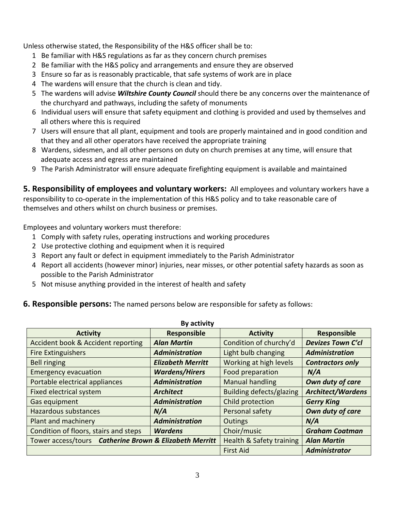Unless otherwise stated, the Responsibility of the H&S officer shall be to:

- 1 Be familiar with H&S regulations as far as they concern church premises
- 2 Be familiar with the H&S policy and arrangements and ensure they are observed
- 3 Ensure so far as is reasonably practicable, that safe systems of work are in place
- 4 The wardens will ensure that the church is clean and tidy.
- 5 The wardens will advise *Wiltshire County Council* should there be any concerns over the maintenance of the churchyard and pathways, including the safety of monuments
- 6 Individual users will ensure that safety equipment and clothing is provided and used by themselves and all others where this is required
- 7 Users will ensure that all plant, equipment and tools are properly maintained and in good condition and that they and all other operators have received the appropriate training
- 8 Wardens, sidesmen, and all other persons on duty on church premises at any time, will ensure that adequate access and egress are maintained
- 9 The Parish Administrator will ensure adequate firefighting equipment is available and maintained

**5. Responsibility of employees and voluntary workers:** All employees and voluntary workers have a responsibility to co-operate in the implementation of this H&S policy and to take reasonable care of themselves and others whilst on church business or premises.

Employees and voluntary workers must therefore:

- 1 Comply with safety rules, operating instructions and working procedures
- 2 Use protective clothing and equipment when it is required
- 3 Report any fault or defect in equipment immediately to the Parish Administrator
- 4 Report all accidents (however minor) injuries, near misses, or other potential safety hazards as soon as possible to the Parish Administrator
- 5 Not misuse anything provided in the interest of health and safety

#### **6. Responsible persons:** The named persons below are responsible for safety as follows:

| By activity                                            |                          |                                     |                          |
|--------------------------------------------------------|--------------------------|-------------------------------------|--------------------------|
| <b>Activity</b>                                        | <b>Responsible</b>       | <b>Activity</b>                     | Responsible              |
| Accident book & Accident reporting                     | <b>Alan Martin</b>       | Condition of churchy'd              | <b>Devizes Town C'cl</b> |
| <b>Fire Extinguishers</b>                              | <b>Administration</b>    | Light bulb changing                 | <b>Administration</b>    |
| <b>Bell ringing</b>                                    | <b>Elizabeth Merritt</b> | Working at high levels              | <b>Contractors only</b>  |
| <b>Emergency evacuation</b>                            | <b>Wardens/Hirers</b>    | Food preparation                    | N/A                      |
| Portable electrical appliances                         | <b>Administration</b>    | <b>Manual handling</b>              | Own duty of care         |
| Fixed electrical system                                | <b>Architect</b>         | <b>Building defects/glazing</b>     | <b>Architect/Wardens</b> |
| Gas equipment                                          | <b>Administration</b>    | Child protection                    | <b>Gerry King</b>        |
| <b>Hazardous substances</b>                            | N/A                      | Personal safety                     | Own duty of care         |
| Plant and machinery                                    | <b>Administration</b>    | Outings                             | N/A                      |
| Condition of floors, stairs and steps                  | <b>Wardens</b>           | Choir/music                         | <b>Graham Coatman</b>    |
| Tower access/tours Catherine Brown & Elizabeth Merritt |                          | <b>Health &amp; Safety training</b> | <b>Alan Martin</b>       |
|                                                        |                          | <b>First Aid</b>                    | <b>Administrator</b>     |

#### **By activity**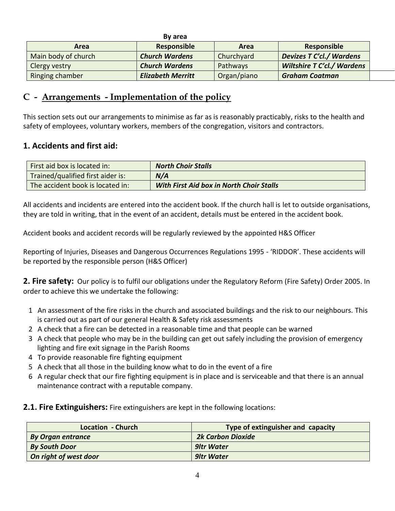|                     | By area                  |             |                                   |
|---------------------|--------------------------|-------------|-----------------------------------|
| Area                | Responsible              | Area        | <b>Responsible</b>                |
| Main body of church | <b>Church Wardens</b>    | Churchyard  | <b>Devizes T C'cl./ Wardens</b>   |
| Clergy vestry       | <b>Church Wardens</b>    | Pathways    | <b>Wiltshire T C'cl./ Wardens</b> |
| Ringing chamber     | <b>Elizabeth Merritt</b> | Organ/piano | <b>Graham Coatman</b>             |

## **C - Arrangements - Implementation of the policy**

This section sets out our arrangements to minimise as far as is reasonably practicably, risks to the health and safety of employees, voluntary workers, members of the congregation, visitors and contractors.

#### **1. Accidents and first aid:**

| First aid box is located in:      | <b>North Choir Stalls</b>                       |
|-----------------------------------|-------------------------------------------------|
| Trained/qualified first aider is: | N/A                                             |
| The accident book is located in:  | <b>With First Aid box in North Choir Stalls</b> |

All accidents and incidents are entered into the accident book. If the church hall is let to outside organisations, they are told in writing, that in the event of an accident, details must be entered in the accident book.

Accident books and accident records will be regularly reviewed by the appointed H&S Officer

Reporting of Injuries, Diseases and Dangerous Occurrences Regulations 1995 - 'RIDDOR'. These accidents will be reported by the responsible person (H&S Officer)

2. Fire safety: Our policy is to fulfil our obligations under the Regulatory Reform (Fire Safety) Order 2005. In order to achieve this we undertake the following:

- 1 An assessment of the fire risks in the church and associated buildings and the risk to our neighbours. This is carried out as part of our general Health & Safety risk assessments
- 2 A check that a fire can be detected in a reasonable time and that people can be warned
- 3 A check that people who may be in the building can get out safely including the provision of emergency lighting and fire exit signage in the Parish Rooms
- 4 To provide reasonable fire fighting equipment
- 5 A check that all those in the building know what to do in the event of a fire
- 6 A regular check that our fire fighting equipment is in place and is serviceable and that there is an annual maintenance contract with a reputable company.
- **2.1. Fire Extinguishers:** Fire extinguishers are kept in the following locations:

| Location - Church        | Type of extinguisher and capacity |
|--------------------------|-----------------------------------|
| <b>By Organ entrance</b> | <b>2k Carbon Dioxide</b>          |
| <b>By South Door</b>     | 9ltr Water                        |
| On right of west door    | 9ltr Water                        |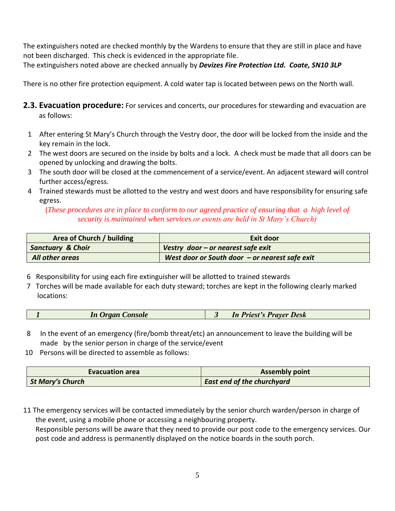The extinguishers noted are checked monthly by the Wardens to ensure that they are still in place and have not been discharged. This check is evidenced in the appropriate file. The extinguishers noted above are checked annually by *Devizes Fire Protection Ltd. Coate, SN10 3LP*

There is no other fire protection equipment. A cold water tap is located between pews on the North wall.

- **2.3. Evacuation procedure:** For services and concerts, our procedures for stewarding and evacuation are as follows:
	- 1 After entering St Mary's Church through the Vestry door, the door will be locked from the inside and the key remain in the lock.
	- 2 The west doors are secured on the inside by bolts and a lock. A check must be made that all doors can be opened by unlocking and drawing the bolts.
	- 3 The south door will be closed at the commencement of a service/event. An adjacent steward will control further access/egress.
	- 4 Trained stewards must be allotted to the vestry and west doors and have responsibility for ensuring safe egress.

#### (*These procedures are in place to conform to our agreed practice of ensuring that a high level of security is maintained when services or events are held in St Mary's Church)*

| Area of Church / building    | Exit door                                        |
|------------------------------|--------------------------------------------------|
| <b>Sanctuary &amp; Choir</b> | Vestry door $-$ or nearest safe exit             |
| All other areas              | West door or South door $-$ or nearest safe exit |

- 6 Responsibility for using each fire extinguisher will be allotted to trained stewards
- 7 Torches will be made available for each duty steward; torches are kept in the following clearly marked locations:

- 8 In the event of an emergency (fire/bomb threat/etc) an announcement to leave the building will be made by the senior person in charge of the service/event
- 10 Persons will be directed to assemble as follows:

| <b>Evacuation area</b>  | <b>Assembly point</b>             |
|-------------------------|-----------------------------------|
| <b>St Mary's Church</b> | <b>East end of the churchyard</b> |

11 The emergency services will be contacted immediately by the senior church warden/person in charge of the event, using a mobile phone or accessing a neighbouring property. Responsible persons will be aware that they need to provide our post code to the emergency services. Our post code and address is permanently displayed on the notice boards in the south porch.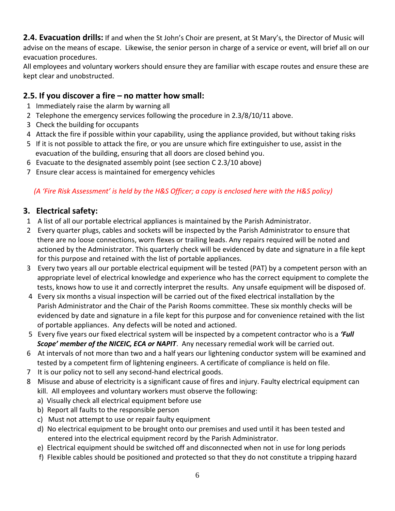**2.4. Evacuation drills:** If and when the St John's Choir are present, at St Mary's, the Director of Music will advise on the means of escape. Likewise, the senior person in charge of a service or event, will brief all on our evacuation procedures.

All employees and voluntary workers should ensure they are familiar with escape routes and ensure these are kept clear and unobstructed.

## **2.5. If you discover a fire – no matter how small:**

- 1 Immediately raise the alarm by warning all
- 2 Telephone the emergency services following the procedure in 2.3/8/10/11 above.
- 3 Check the building for occupants
- 4 Attack the fire if possible within your capability, using the appliance provided, but without taking risks
- 5 If it is not possible to attack the fire, or you are unsure which fire extinguisher to use, assist in the evacuation of the building, ensuring that all doors are closed behind you.
- 6 Evacuate to the designated assembly point (see section C 2.3/10 above)
- 7 Ensure clear access is maintained for emergency vehicles

### *(A 'Fire Risk Assessment' is held by the H&S Officer; a copy is enclosed here with the H&S policy)*

## **3. Electrical safety:**

- 1 A list of all our portable electrical appliances is maintained by the Parish Administrator.
- 2 Every quarter plugs, cables and sockets will be inspected by the Parish Administrator to ensure that there are no loose connections, worn flexes or trailing leads. Any repairs required will be noted and actioned by the Administrator. This quarterly check will be evidenced by date and signature in a file kept for this purpose and retained with the list of portable appliances.
- 3 Every two years all our portable electrical equipment will be tested (PAT) by a competent person with an appropriate level of electrical knowledge and experience who has the correct equipment to complete the tests, knows how to use it and correctly interpret the results. Any unsafe equipment will be disposed of.
- 4 Every six months a visual inspection will be carried out of the fixed electrical installation by the Parish Administrator and the Chair of the Parish Rooms committee. These six monthly checks will be evidenced by date and signature in a file kept for this purpose and for convenience retained with the list of portable appliances. Any defects will be noted and actioned.
- 5 Every five years our fixed electrical system will be inspected by a competent contractor who is a *'Full Scope' member of the NICEIC, ECA or NAPIT*. Any necessary remedial work will be carried out.
- 6 At intervals of not more than two and a half years our lightening conductor system will be examined and tested by a competent firm of lightening engineers. A certificate of compliance is held on file.
- 7 It is our policy not to sell any second-hand electrical goods.
- 8 Misuse and abuse of electricity is a significant cause of fires and injury. Faulty electrical equipment can kill. All employees and voluntary workers must observe the following:
	- a) Visually check all electrical equipment before use
	- b) Report all faults to the responsible person
	- c) Must not attempt to use or repair faulty equipment
	- d) No electrical equipment to be brought onto our premises and used until it has been tested and entered into the electrical equipment record by the Parish Administrator.
	- e) Electrical equipment should be switched off and disconnected when not in use for long periods
	- f) Flexible cables should be positioned and protected so that they do not constitute a tripping hazard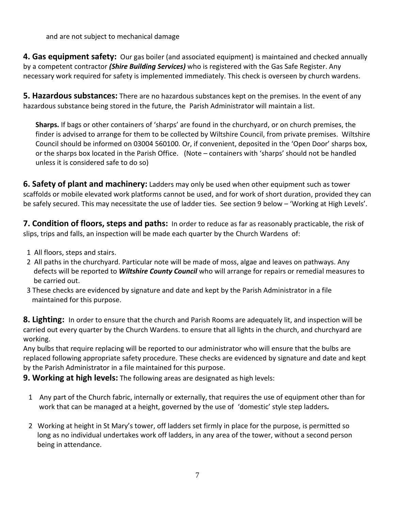and are not subject to mechanical damage

**4. Gas equipment safety:** Our gas boiler (and associated equipment) is maintained and checked annually by a competent contractor *(Shire Building Services)* who is registered with the Gas Safe Register. Any necessary work required for safety is implemented immediately. This check is overseen by church wardens.

**5. Hazardous substances:** There are no hazardous substances kept on the premises. In the event of any hazardous substance being stored in the future, the Parish Administrator will maintain a list.

 **Sharps.** If bags or other containers of 'sharps' are found in the churchyard, or on church premises, the finder is advised to arrange for them to be collected by Wiltshire Council, from private premises. Wiltshire Council should be informed on 03004 560100. Or, if convenient, deposited in the 'Open Door' sharps box, or the sharps box located in the Parish Office. (Note – containers with 'sharps' should not be handled unless it is considered safe to do so)

**6. Safety of plant and machinery:** Ladders may only be used when other equipment such as tower scaffolds or mobile elevated work platforms cannot be used, and for work of short duration, provided they can be safely secured. This may necessitate the use of ladder ties. See section 9 below – 'Working at High Levels'.

**7. Condition of floors, steps and paths:** In order to reduce as far as reasonably practicable, the risk of slips, trips and falls, an inspection will be made each quarter by the Church Wardens of:

- 1 All floors, steps and stairs.
- 2 All paths in the churchyard. Particular note will be made of moss, algae and leaves on pathways. Any defects will be reported to *Wiltshire County Council* who will arrange for repairs or remedial measures to be carried out.
- 3 These checks are evidenced by signature and date and kept by the Parish Administrator in a file maintained for this purpose.

**8. Lighting:** In order to ensure that the church and Parish Rooms are adequately lit, and inspection will be carried out every quarter by the Church Wardens. to ensure that all lights in the church, and churchyard are working.

Any bulbs that require replacing will be reported to our administrator who will ensure that the bulbs are replaced following appropriate safety procedure. These checks are evidenced by signature and date and kept by the Parish Administrator in a file maintained for this purpose.

**9. Working at high levels:** The following areas are designated as high levels:

- 1 Any part of the Church fabric, internally or externally, that requires the use of equipment other than for work that can be managed at a height, governed by the use of 'domestic' style step ladders*.*
- 2 Working at height in St Mary's tower, off ladders set firmly in place for the purpose, is permitted so long as no individual undertakes work off ladders, in any area of the tower, without a second person being in attendance.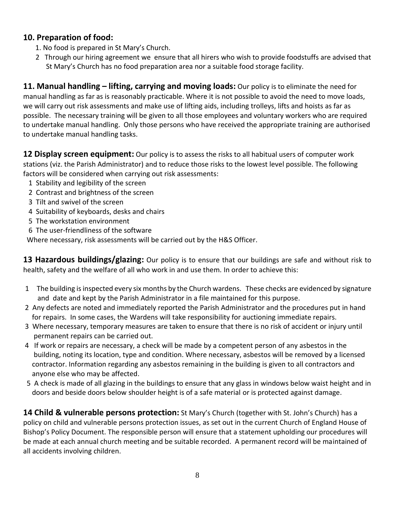#### **10. Preparation of food:**

- 1. No food is prepared in St Mary's Church.
- 2 Through our hiring agreement we ensure that all hirers who wish to provide foodstuffs are advised that St Mary's Church has no food preparation area nor a suitable food storage facility.

**11. Manual handling – lifting, carrying and moving loads:** Our policy is to eliminate the need for manual handling as far as is reasonably practicable. Where it is not possible to avoid the need to move loads, we will carry out risk assessments and make use of lifting aids, including trolleys, lifts and hoists as far as possible. The necessary training will be given to all those employees and voluntary workers who are required to undertake manual handling. Only those persons who have received the appropriate training are authorised to undertake manual handling tasks.

**12 Display screen equipment:** Our policy is to assess the risks to all habitual users of computer work stations (viz. the Parish Administrator) and to reduce those risks to the lowest level possible. The following factors will be considered when carrying out risk assessments:

- 1 Stability and legibility of the screen
- 2 Contrast and brightness of the screen
- 3 Tilt and swivel of the screen
- 4 Suitability of keyboards, desks and chairs
- 5 The workstation environment
- 6 The user-friendliness of the software

Where necessary, risk assessments will be carried out by the H&S Officer.

**13 Hazardous buildings/glazing:** Our policy is to ensure that our buildings are safe and without risk to health, safety and the welfare of all who work in and use them. In order to achieve this:

- 1 The building is inspected every six months by the Church wardens. These checks are evidenced by signature and date and kept by the Parish Administrator in a file maintained for this purpose.
- 2 Any defects are noted and immediately reported the Parish Administrator and the procedures put in hand for repairs. In some cases, the Wardens will take responsibility for auctioning immediate repairs.
- 3 Where necessary, temporary measures are taken to ensure that there is no risk of accident or injury until permanent repairs can be carried out.
- 4 If work or repairs are necessary, a check will be made by a competent person of any asbestos in the building, noting its location, type and condition. Where necessary, asbestos will be removed by a licensed contractor. Information regarding any asbestos remaining in the building is given to all contractors and anyone else who may be affected.
- 5 A check is made of all glazing in the buildings to ensure that any glass in windows below waist height and in doors and beside doors below shoulder height is of a safe material or is protected against damage.

**14 Child & vulnerable persons protection:** St Mary's Church (together with St. John's Church) has a policy on child and vulnerable persons protection issues, as set out in the current Church of England House of Bishop's Policy Document. The responsible person will ensure that a statement upholding our procedures will be made at each annual church meeting and be suitable recorded. A permanent record will be maintained of all accidents involving children.